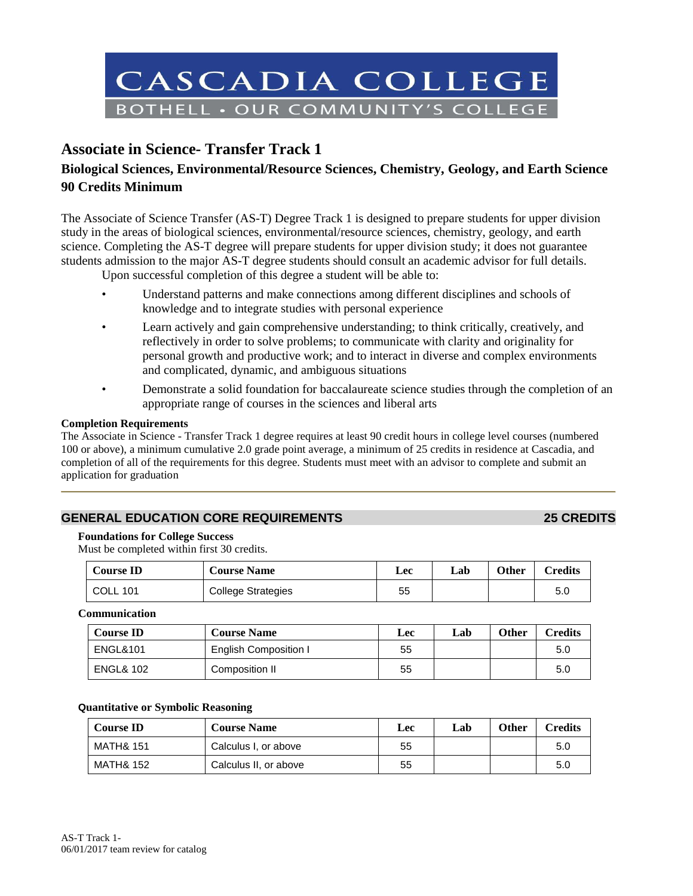

# **Associate in Science- Transfer Track 1**

# **Biological Sciences, Environmental/Resource Sciences, Chemistry, Geology, and Earth Science 90 Credits Minimum**

The Associate of Science Transfer (AS-T) Degree Track 1 is designed to prepare students for upper division study in the areas of biological sciences, environmental/resource sciences, chemistry, geology, and earth science. Completing the AS-T degree will prepare students for upper division study; it does not guarantee students admission to the major AS-T degree students should consult an academic advisor for full details.

Upon successful completion of this degree a student will be able to:

- Understand patterns and make connections among different disciplines and schools of knowledge and to integrate studies with personal experience
- Learn actively and gain comprehensive understanding; to think critically, creatively, and reflectively in order to solve problems; to communicate with clarity and originality for personal growth and productive work; and to interact in diverse and complex environments and complicated, dynamic, and ambiguous situations
- Demonstrate a solid foundation for baccalaureate science studies through the completion of an appropriate range of courses in the sciences and liberal arts

#### **Completion Requirements**

The Associate in Science - Transfer Track 1 degree requires at least 90 credit hours in college level courses (numbered 100 or above), a minimum cumulative 2.0 grade point average, a minimum of 25 credits in residence at Cascadia, and completion of all of the requirements for this degree. Students must meet with an advisor to complete and submit an application for graduation

# **GENERAL EDUCATION CORE REQUIREMENTS 25 CREDITS**

#### **Foundations for College Success**

Must be completed within first 30 credits.

| <b>Course ID</b> | <b>Course Name</b>        | Lec | Lab- | <b>Other</b> | Credits |
|------------------|---------------------------|-----|------|--------------|---------|
| <b>COLL 101</b>  | <b>College Strategies</b> | 55  |      |              | -5.C    |

**Communication**

| <b>Course ID</b>     | <b>Course Name</b>    | Lec | Lab | Other | <b>Credits</b> |
|----------------------|-----------------------|-----|-----|-------|----------------|
| <b>ENGL&amp;101</b>  | English Composition I | 55  |     |       | 5.0            |
| <b>ENGL&amp; 102</b> | Composition II        | 55  |     |       | 5.0            |

#### **Quantitative or Symbolic Reasoning**

| <b>Course ID</b>     | <b>Course Name</b>    | <b>Lec</b> | Lab | <b>Other</b> | Credits |
|----------------------|-----------------------|------------|-----|--------------|---------|
| MATH& 151            | Calculus I, or above  | 55         |     |              | 5.0     |
| <b>MATH&amp; 152</b> | Calculus II, or above | 55         |     |              | 5.0     |